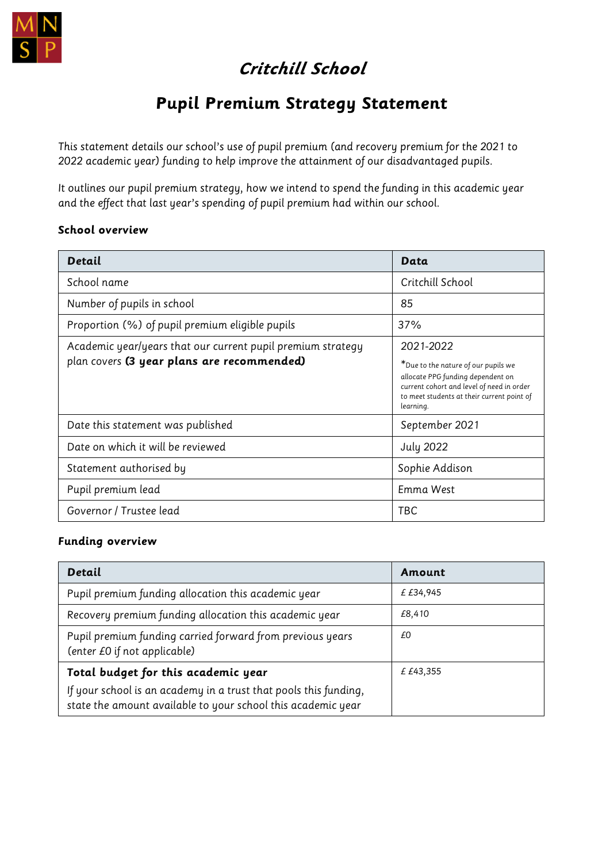

# **Critchill School**

## **Pupil Premium Strategy Statement**

This statement details our school's use of pupil premium (and recovery premium for the 2021 to 2022 academic year) funding to help improve the attainment of our disadvantaged pupils.

It outlines our pupil premium strategy, how we intend to spend the funding in this academic year and the effect that last year's spending of pupil premium had within our school.

#### **School overview**

| Detail                                                                                                    | Data                                                                                                                                                                                          |
|-----------------------------------------------------------------------------------------------------------|-----------------------------------------------------------------------------------------------------------------------------------------------------------------------------------------------|
| School name                                                                                               | Critchill School                                                                                                                                                                              |
| Number of pupils in school                                                                                | 85                                                                                                                                                                                            |
| Proportion (%) of pupil premium eligible pupils                                                           | 37%                                                                                                                                                                                           |
| Academic year/years that our current pupil premium strategy<br>plan covers (3 year plans are recommended) | 2021-2022<br>*Due to the nature of our pupils we<br>allocate PPG funding dependent on<br>current cohort and level of need in order<br>to meet students at their current point of<br>learning. |
| Date this statement was published                                                                         | September 2021                                                                                                                                                                                |
| Date on which it will be reviewed                                                                         | <b>July 2022</b>                                                                                                                                                                              |
| Statement authorised by                                                                                   | Sophie Addison                                                                                                                                                                                |
| Pupil premium lead                                                                                        | Emma West                                                                                                                                                                                     |
| Governor / Trustee lead                                                                                   | TBC                                                                                                                                                                                           |

#### **Funding overview**

| Detail                                                                                                                           | Amount    |
|----------------------------------------------------------------------------------------------------------------------------------|-----------|
| Pupil premium funding allocation this academic year                                                                              | £ £34,945 |
| Recovery premium funding allocation this academic year                                                                           | £8,410    |
| Pupil premium funding carried forward from previous years<br>(enter £0 if not applicable)                                        | £0        |
| Total budget for this academic year                                                                                              | £ £43,355 |
| If your school is an academy in a trust that pools this funding,<br>state the amount available to your school this academic year |           |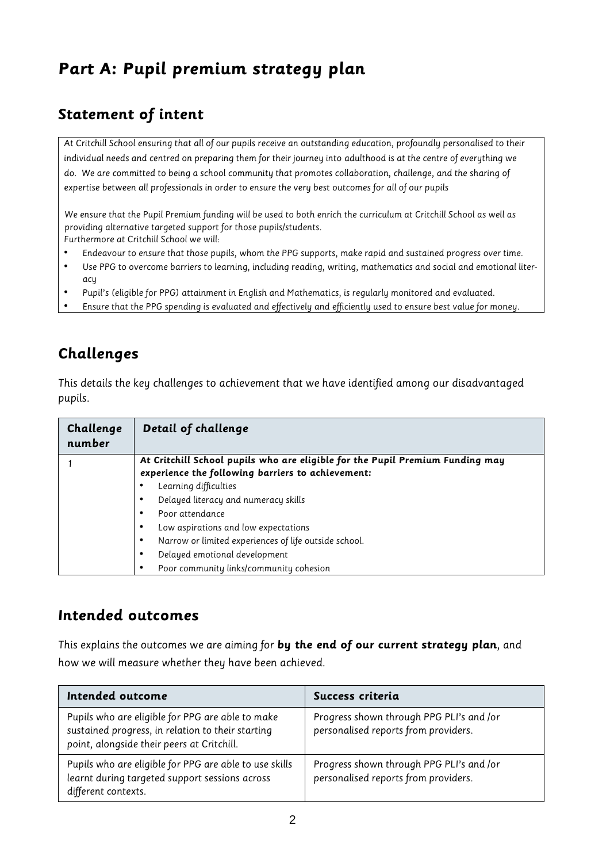# **Part A: Pupil premium strategy plan**

## **Statement of intent**

At Critchill School ensuring that all of our pupils receive an outstanding education, profoundly personalised to their individual needs and centred on preparing them for their journey into adulthood is at the centre of everything we do. We are committed to being a school community that promotes collaboration, challenge, and the sharing of expertise between all professionals in order to ensure the very best outcomes for all of our pupils

We ensure that the Pupil Premium funding will be used to both enrich the curriculum at Critchill School as well as providing alternative targeted support for those pupils/students.

Furthermore at Critchill School we will:

- Endeavour to ensure that those pupils, whom the PPG supports, make rapid and sustained progress over time.
- Use PPG to overcome barriers to learning, including reading, writing, mathematics and social and emotional literacu
- Pupil's (eligible for PPG) attainment in English and Mathematics, is regularly monitored and evaluated.
- Ensure that the PPG spending is evaluated and effectively and efficiently used to ensure best value for money.

## **Challenges**

This details the key challenges to achievement that we have identified among our disadvantaged pupils.

| Challenge<br>number | Detail of challenge                                                                                                                |
|---------------------|------------------------------------------------------------------------------------------------------------------------------------|
|                     | At Critchill School pupils who are eligible for the Pupil Premium Funding may<br>experience the following barriers to achievement: |
|                     | Learning difficulties                                                                                                              |
|                     | Delayed literacy and numeracy skills                                                                                               |
|                     | Poor attendance                                                                                                                    |
|                     | Low aspirations and low expectations                                                                                               |
|                     | Narrow or limited experiences of life outside school.                                                                              |
|                     | Delayed emotional development                                                                                                      |
|                     | Poor community links/community cohesion                                                                                            |

#### **Intended outcomes**

This explains the outcomes we are aiming for **by the end of our current strategy plan**, and how we will measure whether they have been achieved.

| Intended outcome                                                                                                                                    | Success criteria                                                                 |
|-----------------------------------------------------------------------------------------------------------------------------------------------------|----------------------------------------------------------------------------------|
| Pupils who are eligible for PPG are able to make<br>sustained progress, in relation to their starting<br>point, alongside their peers at Critchill. | Progress shown through PPG PLI's and /or<br>personalised reports from providers. |
| Pupils who are eligible for PPG are able to use skills<br>learnt during targeted support sessions across<br>different contexts.                     | Progress shown through PPG PLI's and /or<br>personalised reports from providers. |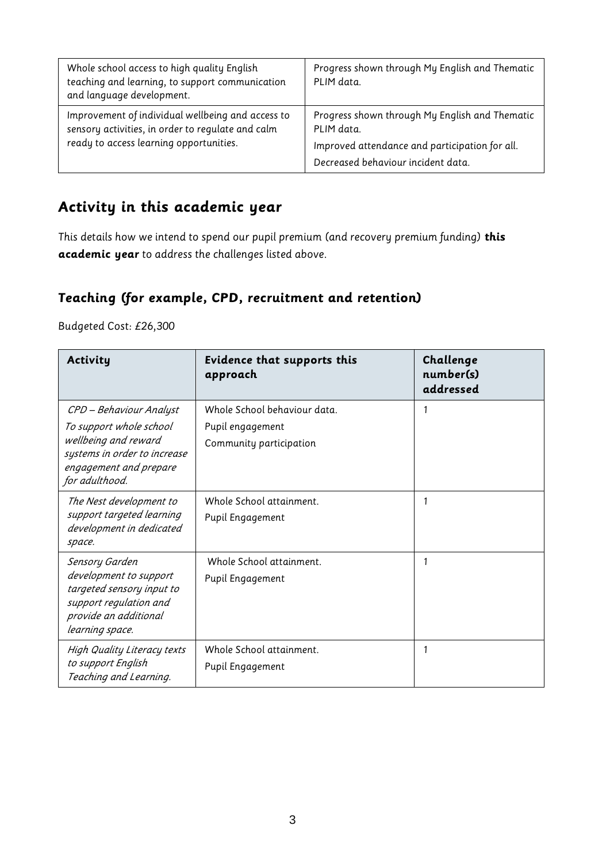| Whole school access to high quality English<br>teaching and learning, to support communication<br>and language development. | Progress shown through My English and Thematic<br>PLIM data. |
|-----------------------------------------------------------------------------------------------------------------------------|--------------------------------------------------------------|
| Improvement of individual wellbeing and access to<br>sensory activities, in order to regulate and calm                      | Progress shown through My English and Thematic<br>PLIM data. |
| ready to access learning opportunities.                                                                                     | Improved attendance and participation for all.               |
|                                                                                                                             | Decreased behaviour incident data.                           |

### **Activity in this academic year**

This details how we intend to spend our pupil premium (and recovery premium funding) **this academic year** to address the challenges listed above.

#### **Teaching (for example, CPD, recruitment and retention)**

Budgeted Cost: £26,300

| Activity                                                                                                                                               | Evidence that supports this<br>approach                                     | Challenge<br>number(s)<br>addressed |
|--------------------------------------------------------------------------------------------------------------------------------------------------------|-----------------------------------------------------------------------------|-------------------------------------|
| CPD - Behaviour Analyst<br>To support whole school<br>wellbeing and reward<br>systems in order to increase<br>engagement and prepare<br>for adulthood. | Whole School behaviour data.<br>Pupil engagement<br>Community participation | 1                                   |
| The Nest development to<br>support targeted learning<br>development in dedicated<br>space.                                                             | Whole School attainment.<br>Pupil Engagement                                | 1                                   |
| Sensory Garden<br>development to support<br>targeted sensory input to<br>support regulation and<br>provide an additional<br>learning space.            | Whole School attainment.<br>Pupil Engagement                                | 1                                   |
| <b>High Quality Literacy texts</b><br>to support English<br>Teaching and Learning.                                                                     | Whole School attainment.<br>Pupil Engagement                                | 1                                   |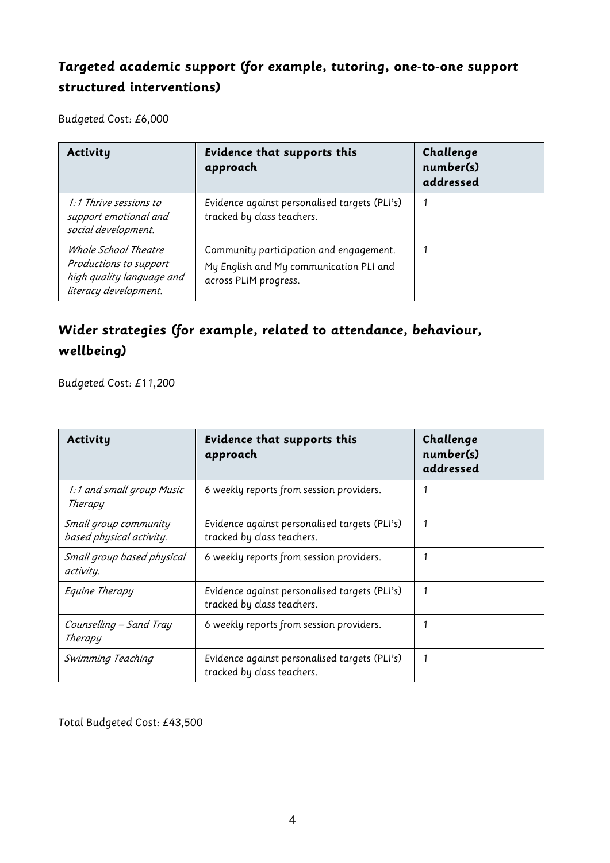### **Targeted academic support (for example, tutoring, one-to-one support structured interventions)**

Budgeted Cost: £6,000

| Activity                                                                                             | Evidence that supports this<br>approach                                                                     | Challenge<br>number(s)<br>addressed |
|------------------------------------------------------------------------------------------------------|-------------------------------------------------------------------------------------------------------------|-------------------------------------|
| 1:1 Thrive sessions to<br>support emotional and<br>social development.                               | Evidence against personalised targets (PLI's)<br>tracked by class teachers.                                 |                                     |
| Whole School Theatre<br>Productions to support<br>high quality language and<br>literacy development. | Community participation and engagement.<br>My English and My communication PLI and<br>across PLIM progress. |                                     |

### **Wider strategies (for example, related to attendance, behaviour, wellbeing)**

Budgeted Cost: £11,200

| Activity                                          | Evidence that supports this<br>approach                                     | Challenge<br>number(s)<br>addressed |
|---------------------------------------------------|-----------------------------------------------------------------------------|-------------------------------------|
| 1:1 and small group Music<br>Therapy              | 6 weekly reports from session providers.                                    |                                     |
| Small group community<br>based physical activity. | Evidence against personalised targets (PLI's)<br>tracked by class teachers. | 1                                   |
| Small group based physical<br>activity.           | 6 weekly reports from session providers.                                    |                                     |
| Equine Therapy                                    | Evidence against personalised targets (PLI's)<br>tracked by class teachers. | 1                                   |
| Counselling - Sand Tray<br>Therapy                | 6 weekly reports from session providers.                                    |                                     |
| Swimming Teaching                                 | Evidence against personalised targets (PLI's)<br>tracked by class teachers. | 1                                   |

Total Budgeted Cost: £43,500